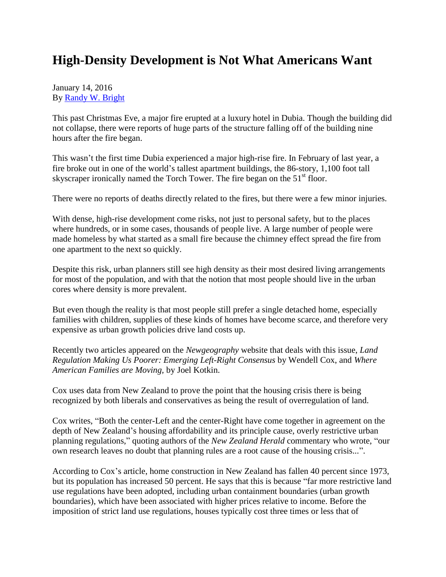## **High-Density Development is Not What Americans Want**

January 14, 2016 By [Randy W. Bright](http://www.tulsabeacon.com/author/slug-o6yd1v)

This past Christmas Eve, a major fire erupted at a luxury hotel in Dubia. Though the building did not collapse, there were reports of huge parts of the structure falling off of the building nine hours after the fire began.

This wasn't the first time Dubia experienced a major high-rise fire. In February of last year, a fire broke out in one of the world's tallest apartment buildings, the 86-story, 1,100 foot tall skyscraper ironically named the Torch Tower. The fire began on the  $51<sup>st</sup>$  floor.

There were no reports of deaths directly related to the fires, but there were a few minor injuries.

With dense, high-rise development come risks, not just to personal safety, but to the places where hundreds, or in some cases, thousands of people live. A large number of people were made homeless by what started as a small fire because the chimney effect spread the fire from one apartment to the next so quickly.

Despite this risk, urban planners still see high density as their most desired living arrangements for most of the population, and with that the notion that most people should live in the urban cores where density is more prevalent.

But even though the reality is that most people still prefer a single detached home, especially families with children, supplies of these kinds of homes have become scarce, and therefore very expensive as urban growth policies drive land costs up.

Recently two articles appeared on the *Newgeography* website that deals with this issue, *Land Regulation Making Us Poorer: Emerging Left-Right Consensus* by Wendell Cox, and *Where American Families are Moving,* by Joel Kotkin.

Cox uses data from New Zealand to prove the point that the housing crisis there is being recognized by both liberals and conservatives as being the result of overregulation of land.

Cox writes, "Both the center-Left and the center-Right have come together in agreement on the depth of New Zealand's housing affordability and its principle cause, overly restrictive urban planning regulations," quoting authors of the *New Zealand Herald* commentary who wrote, "our own research leaves no doubt that planning rules are a root cause of the housing crisis...".

According to Cox's article, home construction in New Zealand has fallen 40 percent since 1973, but its population has increased 50 percent. He says that this is because "far more restrictive land use regulations have been adopted, including urban containment boundaries (urban growth boundaries), which have been associated with higher prices relative to income. Before the imposition of strict land use regulations, houses typically cost three times or less that of